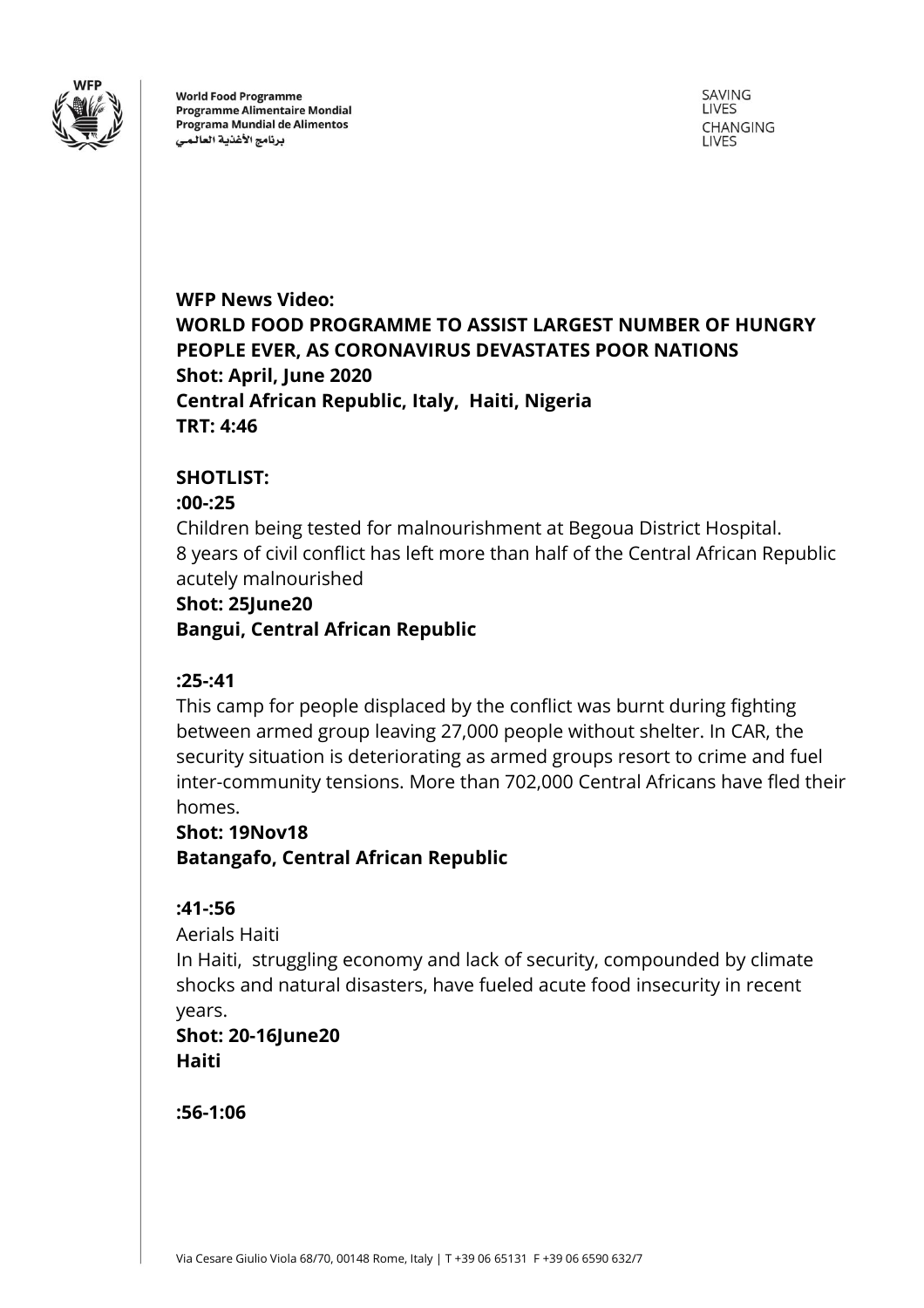

**World Food Programme Programme Alimentaire Mondial** Programa Mundial de Alimentos برنامج الأغذية العالمى

SAVING LIVES CHANGING **LIVES** 

**WFP News Video: WORLD FOOD PROGRAMME TO ASSIST LARGEST NUMBER OF HUNGRY PEOPLE EVER, AS CORONAVIRUS DEVASTATES POOR NATIONS Shot: April, June 2020 Central African Republic, Italy, Haiti, Nigeria TRT: 4:46**

# **SHOTLIST:**

#### **:00-:25**

Children being tested for malnourishment at Begoua District Hospital. 8 years of civil conflict has left more than half of the Central African Republic acutely malnourished

# **Shot: 25June20 Bangui, Central African Republic**

# **:25-:41**

This camp for people displaced by the conflict was burnt during fighting between armed group leaving 27,000 people without shelter. In CAR, the security situation is deteriorating as armed groups resort to crime and fuel inter-community tensions. More than 702,000 Central Africans have fled their homes.

# **Shot: 19Nov18**

**Batangafo, Central African Republic**

# **:41-:56**

Aerials Haiti

In Haiti, struggling economy and lack of security, compounded by climate shocks and natural disasters, have fueled acute food insecurity in recent years.

# **Shot: 20-16June20 Haiti**

**:56-1:06**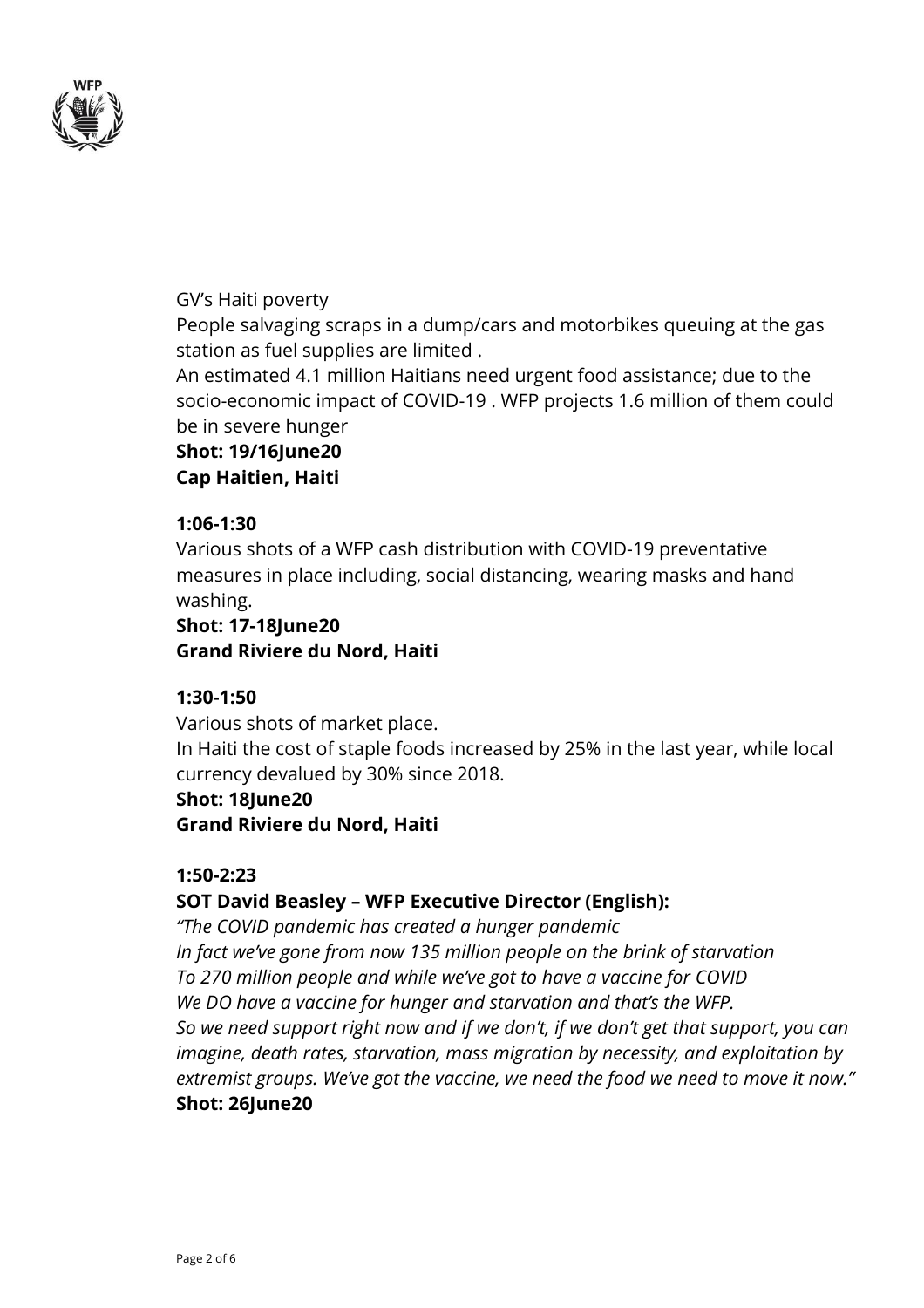

# GV's Haiti poverty

People salvaging scraps in a dump/cars and motorbikes queuing at the gas station as fuel supplies are limited .

An estimated 4.1 million Haitians need urgent food assistance; due to the socio-economic impact of COVID-19 . WFP projects 1.6 million of them could be in severe hunger

**Shot: 19/16June20**

**Cap Haitien, Haiti**

# **1:06-1:30**

Various shots of a WFP cash distribution with COVID-19 preventative measures in place including, social distancing, wearing masks and hand washing.

# **Shot: 17-18June20 Grand Riviere du Nord, Haiti**

# **1:30-1:50**

Various shots of market place.

In Haiti the cost of staple foods increased by 25% in the last year, while local currency devalued by 30% since 2018.

# **Shot: 18June20**

**Grand Riviere du Nord, Haiti**

# **1:50-2:23**

# **SOT David Beasley – WFP Executive Director (English):**

*"The COVID pandemic has created a hunger pandemic In fact we've gone from now 135 million people on the brink of starvation To 270 million people and while we've got to have a vaccine for COVID We DO have a vaccine for hunger and starvation and that's the WFP. So we need support right now and if we don't, if we don't get that support, you can imagine, death rates, starvation, mass migration by necessity, and exploitation by extremist groups. We've got the vaccine, we need the food we need to move it now."* **Shot: 26June20**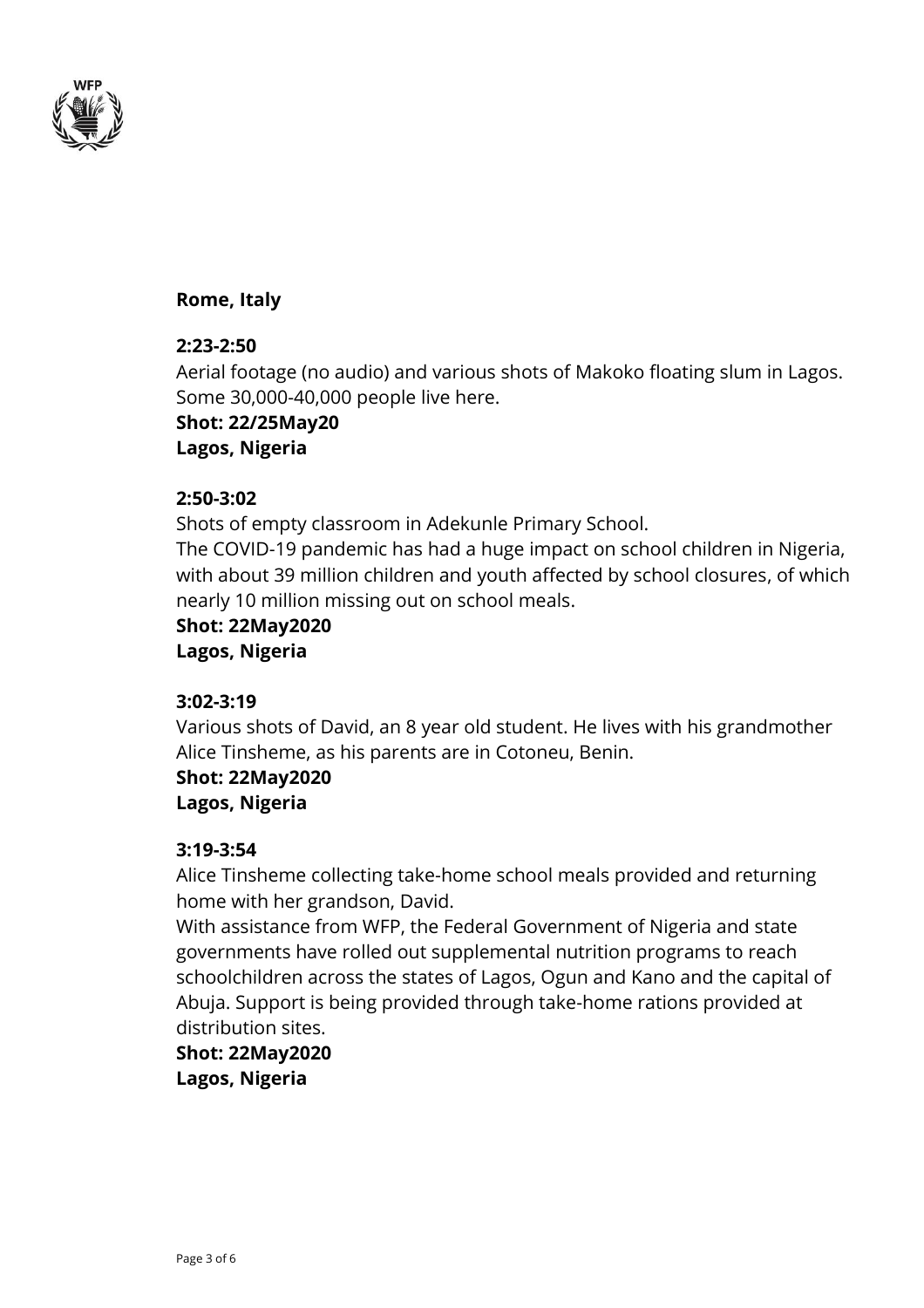

# **Rome, Italy**

# **2:23-2:50**

Aerial footage (no audio) and various shots of Makoko floating slum in Lagos. Some 30,000-40,000 people live here.

**Shot: 22/25May20 Lagos, Nigeria**

# **2:50-3:02**

Shots of empty classroom in Adekunle Primary School.

The COVID-19 pandemic has had a huge impact on school children in Nigeria, with about 39 million children and youth affected by school closures, of which nearly 10 million missing out on school meals.

**Shot: 22May2020 Lagos, Nigeria**

# **3:02-3:19**

Various shots of David, an 8 year old student. He lives with his grandmother Alice Tinsheme, as his parents are in Cotoneu, Benin.

**Shot: 22May2020 Lagos, Nigeria**

# **3:19-3:54**

Alice Tinsheme collecting take-home school meals provided and returning home with her grandson, David.

With assistance from WFP, the Federal Government of Nigeria and state governments have rolled out supplemental nutrition programs to reach schoolchildren across the states of Lagos, Ogun and Kano and the capital of Abuja. Support is being provided through take-home rations provided at distribution sites.

**Shot: 22May2020 Lagos, Nigeria**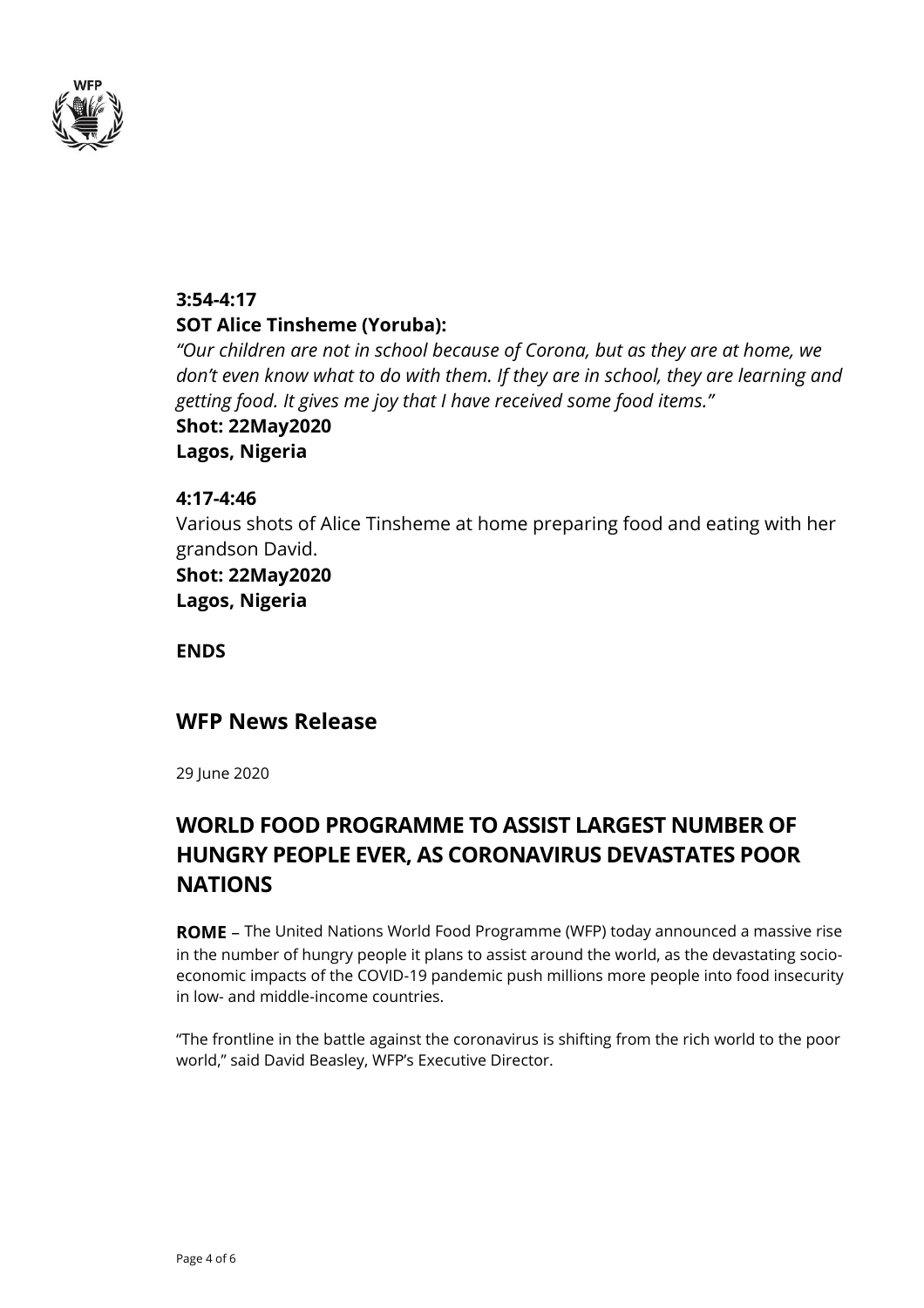

# **3:54-4:17 SOT Alice Tinsheme (Yoruba):**

*"Our children are not in school because of Corona, but as they are at home, we don't even know what to do with them. If they are in school, they are learning and getting food. It gives me joy that I have received some food items."*

**Shot: 22May2020 Lagos, Nigeria**

# **4:17-4:46**

Various shots of Alice Tinsheme at home preparing food and eating with her grandson David.

**Shot: 22May2020 Lagos, Nigeria**

**ENDS**

# **WFP News Release**

29 June 2020

# **WORLD FOOD PROGRAMME TO ASSIST LARGEST NUMBER OF HUNGRY PEOPLE EVER, AS CORONAVIRUS DEVASTATES POOR NATIONS**

**ROME** – The United Nations World Food Programme (WFP) today announced a massive rise in the number of hungry people it plans to assist around the world, as the devastating socioeconomic impacts of the COVID-19 pandemic push millions more people into food insecurity in low- and middle-income countries.

"The frontline in the battle against the coronavirus is shifting from the rich world to the poor world," said David Beasley, WFP's Executive Director.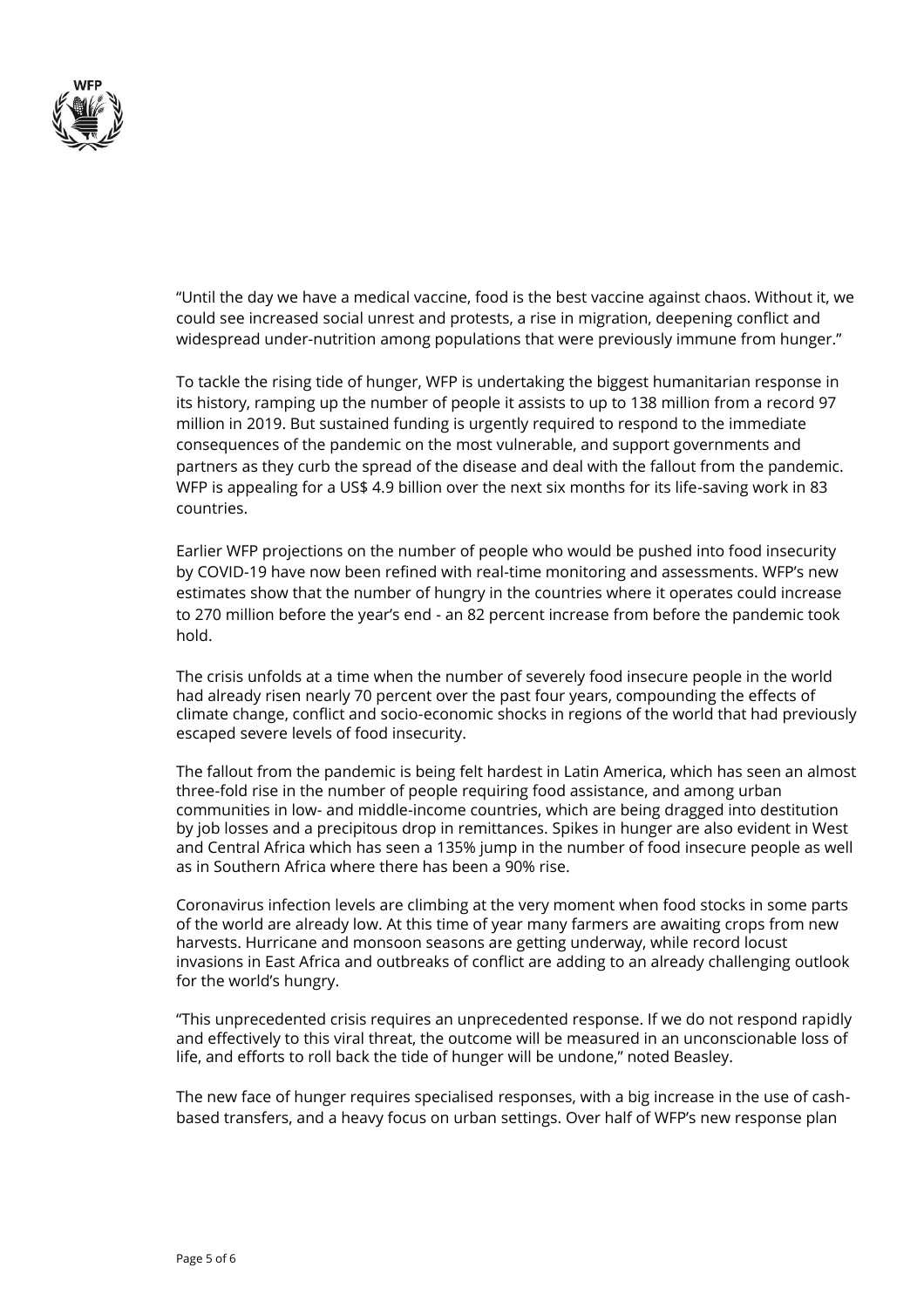

"Until the day we have a medical vaccine, food is the best vaccine against chaos. Without it, we could see increased social unrest and protests, a rise in migration, deepening conflict and widespread under-nutrition among populations that were previously immune from hunger."

To tackle the rising tide of hunger, WFP is undertaking the biggest humanitarian response in its history, ramping up the number of people it assists to up to 138 million from a record 97 million in 2019. But sustained funding is urgently required to respond to the immediate consequences of the pandemic on the most vulnerable, and support governments and partners as they curb the spread of the disease and deal with the fallout from the pandemic. WFP is appealing for a US\$ 4.9 billion over the next six months for its life-saving work in 83 countries.

Earlier WFP projections on the number of people who would be pushed into food insecurity by COVID-19 have now been refined with real-time monitoring and assessments. WFP's new estimates show that the number of hungry in the countries where it operates could increase to 270 million before the year's end - an 82 percent increase from before the pandemic took hold.

The crisis unfolds at a time when the number of severely food insecure people in the world had already risen nearly 70 percent over the past four years, compounding the effects of climate change, conflict and socio-economic shocks in regions of the world that had previously escaped severe levels of food insecurity.

The fallout from the pandemic is being felt hardest in Latin America, which has seen an almost three-fold rise in the number of people requiring food assistance, and among urban communities in low- and middle-income countries, which are being dragged into destitution by job losses and a precipitous drop in remittances. Spikes in hunger are also evident in West and Central Africa which has seen a 135% jump in the number of food insecure people as well as in Southern Africa where there has been a 90% rise.

Coronavirus infection levels are climbing at the very moment when food stocks in some parts of the world are already low. At this time of year many farmers are awaiting crops from new harvests. Hurricane and monsoon seasons are getting underway, while record locust invasions in East Africa and outbreaks of conflict are adding to an already challenging outlook for the world's hungry.

"This unprecedented crisis requires an unprecedented response. If we do not respond rapidly and effectively to this viral threat, the outcome will be measured in an unconscionable loss of life, and efforts to roll back the tide of hunger will be undone," noted Beasley.

The new face of hunger requires specialised responses, with a big increase in the use of cashbased transfers, and a heavy focus on urban settings. Over half of WFP's new response plan